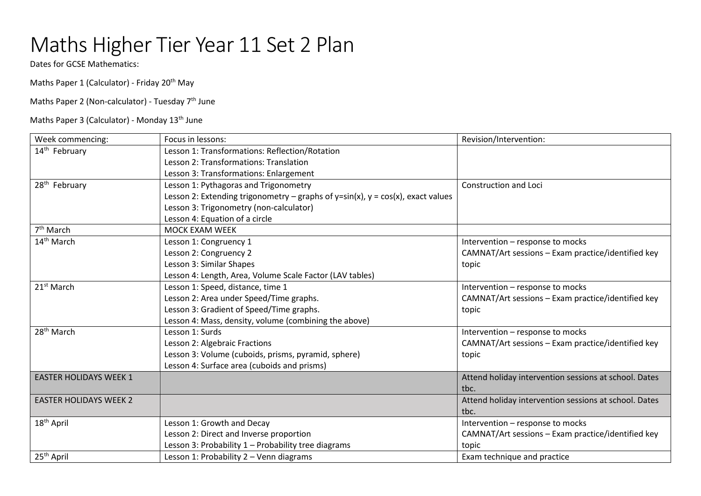## Maths Higher Tier Year 11 Set 2 Plan

Dates for GCSE Mathematics:

Maths Paper 1 (Calculator) - Friday 20<sup>th</sup> May

Maths Paper 2 (Non-calculator) - Tuesday 7<sup>th</sup> June

Maths Paper 3 (Calculator) - Monday 13<sup>th</sup> June

| Week commencing:              | Focus in lessons:                                                                  | Revision/Intervention:                                |
|-------------------------------|------------------------------------------------------------------------------------|-------------------------------------------------------|
| 14 <sup>th</sup> February     | Lesson 1: Transformations: Reflection/Rotation                                     |                                                       |
|                               | Lesson 2: Transformations: Translation                                             |                                                       |
|                               | Lesson 3: Transformations: Enlargement                                             |                                                       |
| 28 <sup>th</sup> February     | Lesson 1: Pythagoras and Trigonometry                                              | <b>Construction and Loci</b>                          |
|                               | Lesson 2: Extending trigonometry – graphs of y=sin(x), $y = cos(x)$ , exact values |                                                       |
|                               | Lesson 3: Trigonometry (non-calculator)                                            |                                                       |
|                               | Lesson 4: Equation of a circle                                                     |                                                       |
| 7 <sup>th</sup> March         | <b>MOCK EXAM WEEK</b>                                                              |                                                       |
| 14 <sup>th</sup> March        | Lesson 1: Congruency 1                                                             | Intervention - response to mocks                      |
|                               | Lesson 2: Congruency 2                                                             | CAMNAT/Art sessions - Exam practice/identified key    |
|                               | Lesson 3: Similar Shapes                                                           | topic                                                 |
|                               | Lesson 4: Length, Area, Volume Scale Factor (LAV tables)                           |                                                       |
| 21 <sup>st</sup> March        | Lesson 1: Speed, distance, time 1                                                  | Intervention - response to mocks                      |
|                               | Lesson 2: Area under Speed/Time graphs.                                            | CAMNAT/Art sessions - Exam practice/identified key    |
|                               | Lesson 3: Gradient of Speed/Time graphs.                                           | topic                                                 |
|                               | Lesson 4: Mass, density, volume (combining the above)                              |                                                       |
| 28 <sup>th</sup> March        | Lesson 1: Surds                                                                    | Intervention - response to mocks                      |
|                               | Lesson 2: Algebraic Fractions                                                      | CAMNAT/Art sessions - Exam practice/identified key    |
|                               | Lesson 3: Volume (cuboids, prisms, pyramid, sphere)                                | topic                                                 |
|                               | Lesson 4: Surface area (cuboids and prisms)                                        |                                                       |
| <b>EASTER HOLIDAYS WEEK 1</b> |                                                                                    | Attend holiday intervention sessions at school. Dates |
|                               |                                                                                    | tbc.                                                  |
| <b>EASTER HOLIDAYS WEEK 2</b> |                                                                                    | Attend holiday intervention sessions at school. Dates |
|                               |                                                                                    | tbc.                                                  |
| 18 <sup>th</sup> April        | Lesson 1: Growth and Decay                                                         | Intervention - response to mocks                      |
|                               | Lesson 2: Direct and Inverse proportion                                            | CAMNAT/Art sessions - Exam practice/identified key    |
|                               | Lesson 3: Probability 1 - Probability tree diagrams                                | topic                                                 |
| 25 <sup>th</sup> April        | Lesson 1: Probability 2 - Venn diagrams                                            | Exam technique and practice                           |